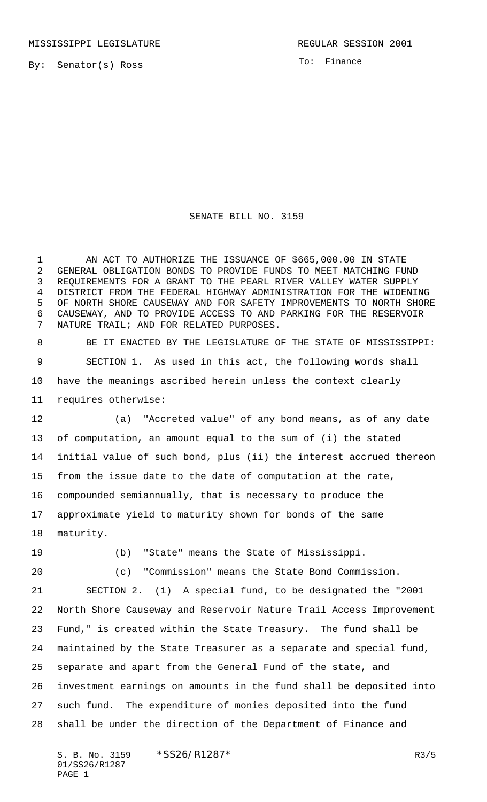By: Senator(s) Ross

To: Finance

## SENATE BILL NO. 3159

 AN ACT TO AUTHORIZE THE ISSUANCE OF \$665,000.00 IN STATE GENERAL OBLIGATION BONDS TO PROVIDE FUNDS TO MEET MATCHING FUND REQUIREMENTS FOR A GRANT TO THE PEARL RIVER VALLEY WATER SUPPLY DISTRICT FROM THE FEDERAL HIGHWAY ADMINISTRATION FOR THE WIDENING OF NORTH SHORE CAUSEWAY AND FOR SAFETY IMPROVEMENTS TO NORTH SHORE CAUSEWAY, AND TO PROVIDE ACCESS TO AND PARKING FOR THE RESERVOIR NATURE TRAIL; AND FOR RELATED PURPOSES.

 BE IT ENACTED BY THE LEGISLATURE OF THE STATE OF MISSISSIPPI: SECTION 1. As used in this act, the following words shall have the meanings ascribed herein unless the context clearly requires otherwise:

 (a) "Accreted value" of any bond means, as of any date of computation, an amount equal to the sum of (i) the stated initial value of such bond, plus (ii) the interest accrued thereon from the issue date to the date of computation at the rate, compounded semiannually, that is necessary to produce the approximate yield to maturity shown for bonds of the same maturity.

(b) "State" means the State of Mississippi.

 (c) "Commission" means the State Bond Commission. SECTION 2. (1) A special fund, to be designated the "2001 North Shore Causeway and Reservoir Nature Trail Access Improvement Fund," is created within the State Treasury. The fund shall be maintained by the State Treasurer as a separate and special fund, separate and apart from the General Fund of the state, and investment earnings on amounts in the fund shall be deposited into such fund. The expenditure of monies deposited into the fund shall be under the direction of the Department of Finance and

S. B. No. 3159 \* SS26/R1287\* R3/5 01/SS26/R1287 PAGE 1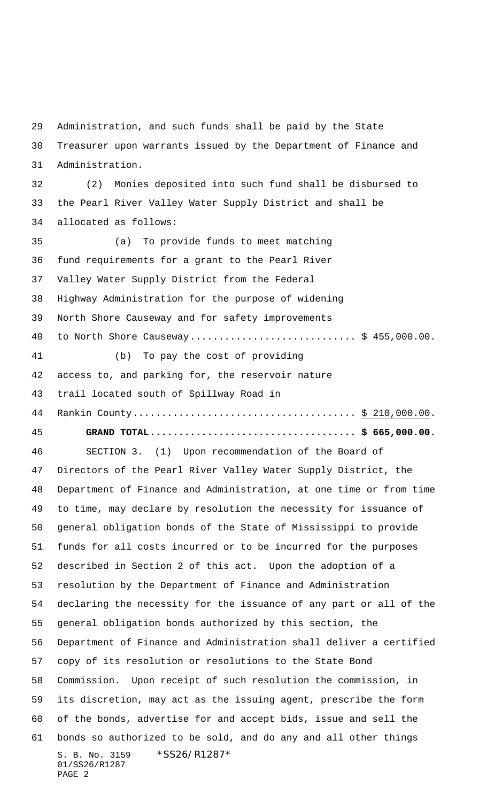S. B. No. 3159 \* SS26/R1287\* 01/SS26/R1287 PAGE 2 Administration, and such funds shall be paid by the State Treasurer upon warrants issued by the Department of Finance and Administration. (2) Monies deposited into such fund shall be disbursed to the Pearl River Valley Water Supply District and shall be allocated as follows: (a) To provide funds to meet matching fund requirements for a grant to the Pearl River Valley Water Supply District from the Federal Highway Administration for the purpose of widening North Shore Causeway and for safety improvements to North Shore Causeway............................. \$ 455,000.00. (b) To pay the cost of providing access to, and parking for, the reservoir nature trail located south of Spillway Road in Rankin County....................................... \$ 210,000.00. **GRAND TOTAL.................................... \$ 665,000.00.** SECTION 3. (1) Upon recommendation of the Board of Directors of the Pearl River Valley Water Supply District, the Department of Finance and Administration, at one time or from time to time, may declare by resolution the necessity for issuance of general obligation bonds of the State of Mississippi to provide funds for all costs incurred or to be incurred for the purposes described in Section 2 of this act. Upon the adoption of a resolution by the Department of Finance and Administration declaring the necessity for the issuance of any part or all of the general obligation bonds authorized by this section, the Department of Finance and Administration shall deliver a certified copy of its resolution or resolutions to the State Bond Commission. Upon receipt of such resolution the commission, in its discretion, may act as the issuing agent, prescribe the form of the bonds, advertise for and accept bids, issue and sell the bonds so authorized to be sold, and do any and all other things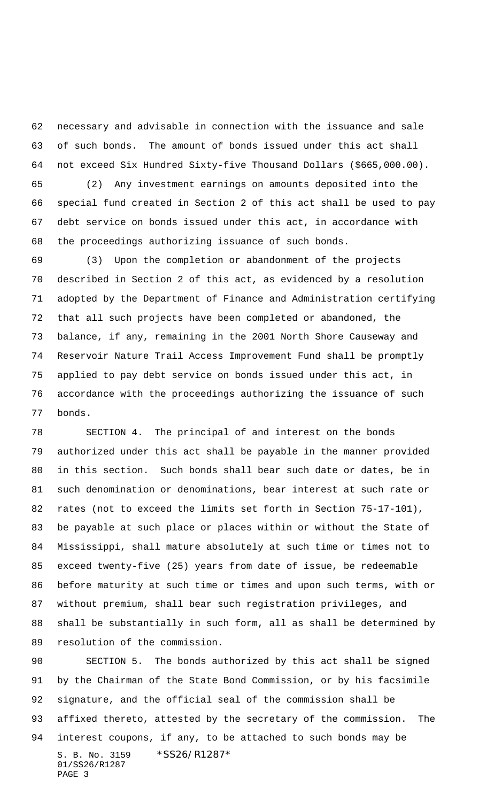necessary and advisable in connection with the issuance and sale of such bonds. The amount of bonds issued under this act shall not exceed Six Hundred Sixty-five Thousand Dollars (\$665,000.00).

 (2) Any investment earnings on amounts deposited into the special fund created in Section 2 of this act shall be used to pay debt service on bonds issued under this act, in accordance with the proceedings authorizing issuance of such bonds.

 (3) Upon the completion or abandonment of the projects described in Section 2 of this act, as evidenced by a resolution adopted by the Department of Finance and Administration certifying that all such projects have been completed or abandoned, the balance, if any, remaining in the 2001 North Shore Causeway and Reservoir Nature Trail Access Improvement Fund shall be promptly applied to pay debt service on bonds issued under this act, in accordance with the proceedings authorizing the issuance of such bonds.

 SECTION 4. The principal of and interest on the bonds authorized under this act shall be payable in the manner provided in this section. Such bonds shall bear such date or dates, be in such denomination or denominations, bear interest at such rate or rates (not to exceed the limits set forth in Section 75-17-101), be payable at such place or places within or without the State of Mississippi, shall mature absolutely at such time or times not to exceed twenty-five (25) years from date of issue, be redeemable before maturity at such time or times and upon such terms, with or without premium, shall bear such registration privileges, and shall be substantially in such form, all as shall be determined by resolution of the commission.

S. B. No. 3159 \* SS26/R1287\* 01/SS26/R1287 PAGE 3 SECTION 5. The bonds authorized by this act shall be signed by the Chairman of the State Bond Commission, or by his facsimile signature, and the official seal of the commission shall be affixed thereto, attested by the secretary of the commission. The interest coupons, if any, to be attached to such bonds may be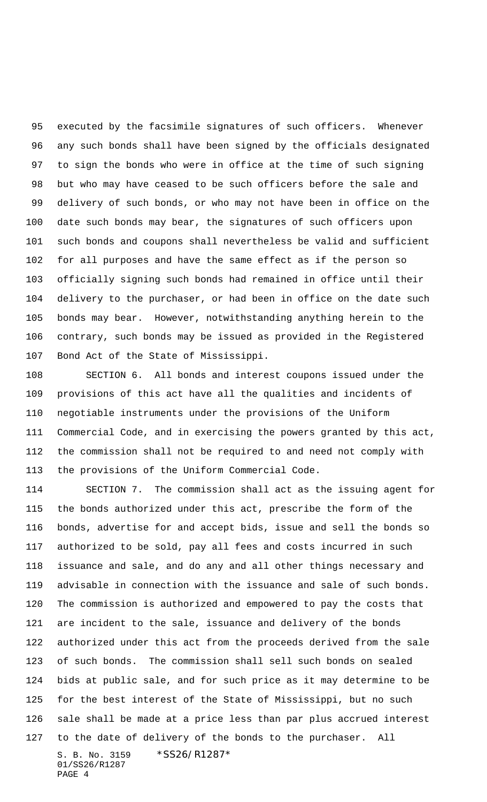executed by the facsimile signatures of such officers. Whenever any such bonds shall have been signed by the officials designated to sign the bonds who were in office at the time of such signing but who may have ceased to be such officers before the sale and delivery of such bonds, or who may not have been in office on the date such bonds may bear, the signatures of such officers upon such bonds and coupons shall nevertheless be valid and sufficient for all purposes and have the same effect as if the person so officially signing such bonds had remained in office until their delivery to the purchaser, or had been in office on the date such bonds may bear. However, notwithstanding anything herein to the contrary, such bonds may be issued as provided in the Registered Bond Act of the State of Mississippi.

 SECTION 6. All bonds and interest coupons issued under the provisions of this act have all the qualities and incidents of negotiable instruments under the provisions of the Uniform Commercial Code, and in exercising the powers granted by this act, the commission shall not be required to and need not comply with the provisions of the Uniform Commercial Code.

S. B. No. 3159 \* SS26/R1287\* 01/SS26/R1287 SECTION 7. The commission shall act as the issuing agent for the bonds authorized under this act, prescribe the form of the bonds, advertise for and accept bids, issue and sell the bonds so authorized to be sold, pay all fees and costs incurred in such issuance and sale, and do any and all other things necessary and advisable in connection with the issuance and sale of such bonds. The commission is authorized and empowered to pay the costs that are incident to the sale, issuance and delivery of the bonds authorized under this act from the proceeds derived from the sale of such bonds. The commission shall sell such bonds on sealed bids at public sale, and for such price as it may determine to be for the best interest of the State of Mississippi, but no such sale shall be made at a price less than par plus accrued interest to the date of delivery of the bonds to the purchaser. All

PAGE 4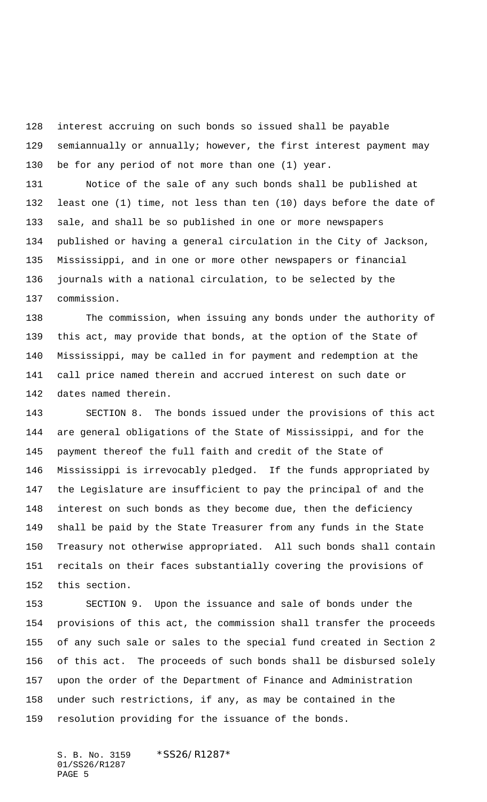interest accruing on such bonds so issued shall be payable semiannually or annually; however, the first interest payment may be for any period of not more than one (1) year.

 Notice of the sale of any such bonds shall be published at least one (1) time, not less than ten (10) days before the date of sale, and shall be so published in one or more newspapers published or having a general circulation in the City of Jackson, Mississippi, and in one or more other newspapers or financial journals with a national circulation, to be selected by the commission.

 The commission, when issuing any bonds under the authority of this act, may provide that bonds, at the option of the State of Mississippi, may be called in for payment and redemption at the call price named therein and accrued interest on such date or dates named therein.

 SECTION 8. The bonds issued under the provisions of this act are general obligations of the State of Mississippi, and for the payment thereof the full faith and credit of the State of Mississippi is irrevocably pledged. If the funds appropriated by the Legislature are insufficient to pay the principal of and the interest on such bonds as they become due, then the deficiency shall be paid by the State Treasurer from any funds in the State Treasury not otherwise appropriated. All such bonds shall contain recitals on their faces substantially covering the provisions of this section.

 SECTION 9. Upon the issuance and sale of bonds under the provisions of this act, the commission shall transfer the proceeds of any such sale or sales to the special fund created in Section 2 of this act. The proceeds of such bonds shall be disbursed solely upon the order of the Department of Finance and Administration under such restrictions, if any, as may be contained in the resolution providing for the issuance of the bonds.

S. B. No. 3159 \*SS26/R1287\* 01/SS26/R1287 PAGE 5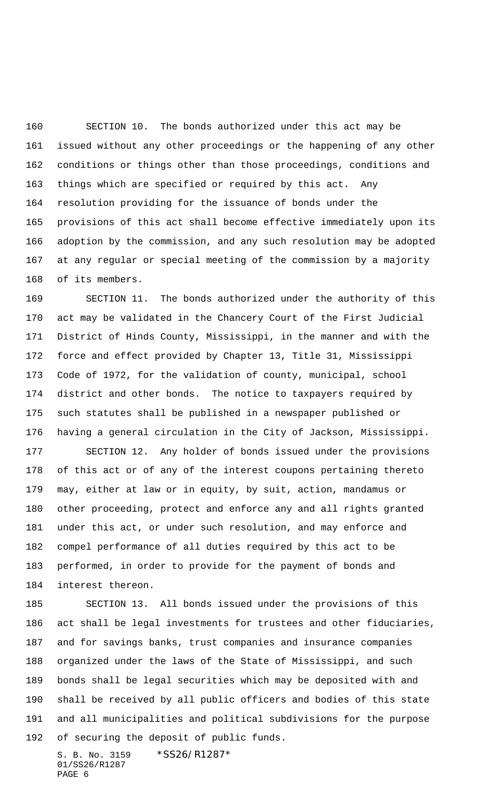SECTION 10. The bonds authorized under this act may be issued without any other proceedings or the happening of any other conditions or things other than those proceedings, conditions and things which are specified or required by this act. Any resolution providing for the issuance of bonds under the provisions of this act shall become effective immediately upon its adoption by the commission, and any such resolution may be adopted at any regular or special meeting of the commission by a majority of its members.

 SECTION 11. The bonds authorized under the authority of this act may be validated in the Chancery Court of the First Judicial District of Hinds County, Mississippi, in the manner and with the force and effect provided by Chapter 13, Title 31, Mississippi Code of 1972, for the validation of county, municipal, school district and other bonds. The notice to taxpayers required by such statutes shall be published in a newspaper published or having a general circulation in the City of Jackson, Mississippi.

 SECTION 12. Any holder of bonds issued under the provisions of this act or of any of the interest coupons pertaining thereto may, either at law or in equity, by suit, action, mandamus or other proceeding, protect and enforce any and all rights granted under this act, or under such resolution, and may enforce and compel performance of all duties required by this act to be performed, in order to provide for the payment of bonds and interest thereon.

 SECTION 13. All bonds issued under the provisions of this act shall be legal investments for trustees and other fiduciaries, and for savings banks, trust companies and insurance companies organized under the laws of the State of Mississippi, and such bonds shall be legal securities which may be deposited with and shall be received by all public officers and bodies of this state and all municipalities and political subdivisions for the purpose of securing the deposit of public funds.

S. B. No. 3159 \* SS26/R1287\* 01/SS26/R1287 PAGE 6